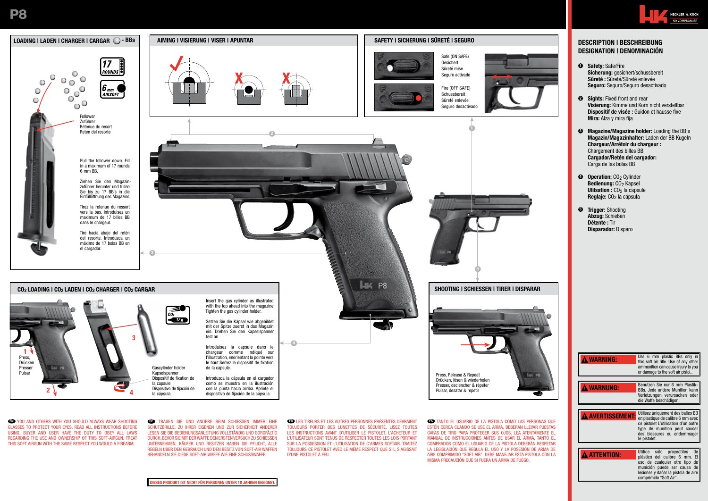

GLASSES TO PROTECT YOUR EYES. READ ALL INSTRUCTIONS BEFORE USING. BUYER AND USER HAVE THE DUTY TO OBEY ALL LAWS REGARDING THE USE AND OWNERSHIP OF THIS SOFT-AIRGUN. TREAT THIS SOFT AIRGUN WITH THE SAME RESPECT YOU WOULD A FIREARM.

**DE TRAGEN SIE UND ANDERE BEIM SCHIESSEN IMMER EINE** SCHUTZBRILLE. ZU IHRER EIGENEN UND ZUR SICHERHEIT ANDERER LESEN SIE DIE BEDIENUNGSANLEITUNG VOLLSTÄNDIG UND SORGFÄLTIG DURCH, BEVOR SIE MIT DER WAFFE DEN ERSTEN VERSUCH ZU SCHIESSEN UNTERNEHMEN. KÄUFER UND BESITZER HABEN DIE PFLICHT, ALLE REGELN ÜBER DEN GEBRAUCH UND DEN BESITZ VON SOFT-AIR WAFFEN BEHANDELN SIE DIESE SOFT-AIR WAFFE WIE EINE SCHUSSWAFFE.

TOUJOURS PORTER DES LUNETTES DE SÉCURITÉ. LISEZ TOUTES LES INSTRUCTIONS AVANT D'UTILISER LE PISTOLET. L'ACHETEUR ET L'UTILISATEUR SONT TENUS DE RESPECTER TOUTES LES LOIS PORTANT SUR LA POSSESSION ET L'UTILISATION DE C'ARMES SOFTAIR. TRAITEZ TOUJOURS CE PISTOLET AVEC LE MÊME RESPECT QUE S'IL S'AGISSAIT D'UNE PISTOLET À FEU.

ESTÉN CERCA CUANDO SE USE EL ARMA, DEBERÁN LLEVAR PUESTAS GAFAS DE TIRO PARA PROTEGER SUS OJOS. LEA ATENTAMENTE EL MANUAL DE INSTRUCCIONES ANTES DE USAR EL ARMA. TANTO EL COMPRADOR COMO EL USUARIO DE LA PISTOLA DEBERÁN RESPETAR LA LEGISLACIÓN QUE REGULA EL USO Y LA POSESIÓN DE ARMA DE AIRE COMPRIMIDO "SOFT AIR". DEBE MANEJAR ESTA PISTOLA CON LA MISMA PRECAUCIÓN QUE SI FUERA UN ARMA DE FUEGO.

- Sicherung: gesichert/schussbereit Seguro: Seguro/Seguro desactivado
- Visierung: Kimme und Korn nicht verstellbar Dispositif de visée : Guidon et hausse fixe
- **3** Magazine/Magazine holder: Loading the BB's Magazin/Magazinhalter: Laden der BB Kugeln Chargeur/Arrêtoir du chargeur :

| <b>A WARNING:</b>     | USC U IIIIII DIQUUC DDS UIIIV III<br>this soft air rifle. Use of any other<br>ammunition can cause injury to you<br>or damage to the soft air pistol                                                        |
|-----------------------|-------------------------------------------------------------------------------------------------------------------------------------------------------------------------------------------------------------|
|                       |                                                                                                                                                                                                             |
| <b>A WARNUNG:</b>     | Benutzen Sie nur 6 mm Plastik-<br>BBs. Jede andere Munition kann<br>Verletzungen verursachen oder<br>die Waffe beschädigen.                                                                                 |
|                       |                                                                                                                                                                                                             |
| <b>AVERTISSEMENT:</b> | Utilisez uniquement des balles BB<br>en plastique de calibre 6 mm avec<br>ce pistolet L'utilisation d'un autre<br>type de munition peut causer<br>des blessures ou endommager<br>le pistolet.               |
|                       |                                                                                                                                                                                                             |
| <b>ATTENTION:</b>     | de<br>Utilice sólo proyectiles<br>E1<br>plástico del calibre 6 mm.<br>de<br>uso de cualquier otro tipo<br>munición puede ser causa<br>de l<br>lesiones y dañar la pistola de aire<br>comprimido "Soft Air". |